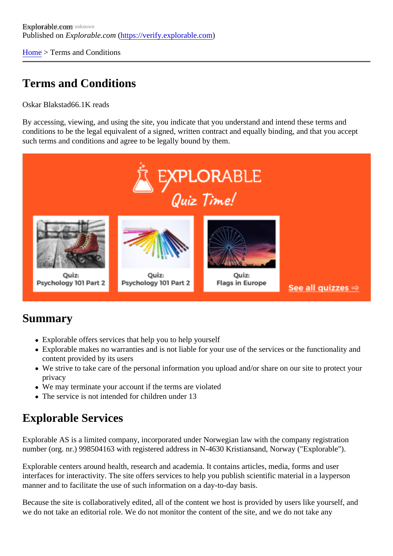[Home](https://verify.explorable.com/) > Terms and Conditions

# Terms and Conditions

Oskar Blakstad6.1K reads

By accessing, viewing, and using the site, you indicate that you understand and intend these terms and conditions to be the legal equivalent of a signed, written contract and equally binding, and that you accept such terms and conditions and agree to be legally bound by them.

### Summary

- Explorable offers services that help you to help yourself
- Explorable makes no warranties and is not liable for your use of the services or the functionality and content provided by its users
- We strive to take care of the personal information you upload and/or share on our site to protect your privacy
- We may terminate your account if the terms are violated
- The service is not intended for children under 13

# Explorable Services

Explorable AS is a limited company, incorporated under Norwegian law with the company registration number (org. nr.) 998504163 with registered address in N-4630 Kristiansand, Norway ("Explorable").

Explorable centers around health, research and academia. It contains articles, media, forms and user interfaces for interactivity. The site offers services to help you publish scientific material in a layperson manner and to facilitate the use of such information on a day-to-day basis.

Because the site is collaboratively edited, all of the content we host is provided by users like yourself, and we do not take an editorial role. We do not monitor the content of the site, and we do not take any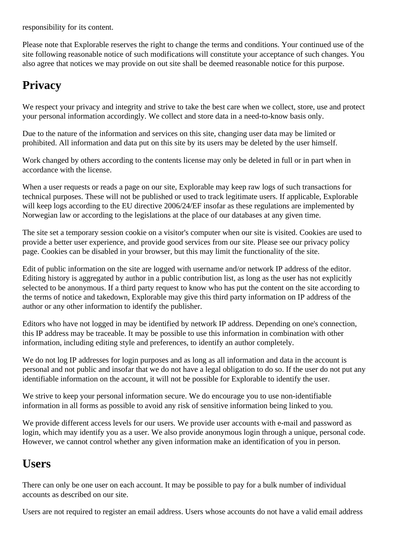responsibility for its content.

Please note that Explorable reserves the right to change the terms and conditions. Your continued use of the site following reasonable notice of such modifications will constitute your acceptance of such changes. You also agree that notices we may provide on out site shall be deemed reasonable notice for this purpose.

# **Privacy**

We respect your privacy and integrity and strive to take the best care when we collect, store, use and protect your personal information accordingly. We collect and store data in a need-to-know basis only.

Due to the nature of the information and services on this site, changing user data may be limited or prohibited. All information and data put on this site by its users may be deleted by the user himself.

Work changed by others according to the contents license may only be deleted in full or in part when in accordance with the license.

When a user requests or reads a page on our site, Explorable may keep raw logs of such transactions for technical purposes. These will not be published or used to track legitimate users. If applicable, Explorable will keep logs according to the EU directive 2006/24/EF insofar as these regulations are implemented by Norwegian law or according to the legislations at the place of our databases at any given time.

The site set a temporary session cookie on a visitor's computer when our site is visited. Cookies are used to provide a better user experience, and provide good services from our site. Please see our privacy policy page. Cookies can be disabled in your browser, but this may limit the functionality of the site.

Edit of public information on the site are logged with username and/or network IP address of the editor. Editing history is aggregated by author in a public contribution list, as long as the user has not explicitly selected to be anonymous. If a third party request to know who has put the content on the site according to the terms of notice and takedown, Explorable may give this third party information on IP address of the author or any other information to identify the publisher.

Editors who have not logged in may be identified by network IP address. Depending on one's connection, this IP address may be traceable. It may be possible to use this information in combination with other information, including editing style and preferences, to identify an author completely.

We do not log IP addresses for login purposes and as long as all information and data in the account is personal and not public and insofar that we do not have a legal obligation to do so. If the user do not put any identifiable information on the account, it will not be possible for Explorable to identify the user.

We strive to keep your personal information secure. We do encourage you to use non-identifiable information in all forms as possible to avoid any risk of sensitive information being linked to you.

We provide different access levels for our users. We provide user accounts with e-mail and password as login, which may identify you as a user. We also provide anonymous login through a unique, personal code. However, we cannot control whether any given information make an identification of you in person.

### **Users**

There can only be one user on each account. It may be possible to pay for a bulk number of individual accounts as described on our site.

Users are not required to register an email address. Users whose accounts do not have a valid email address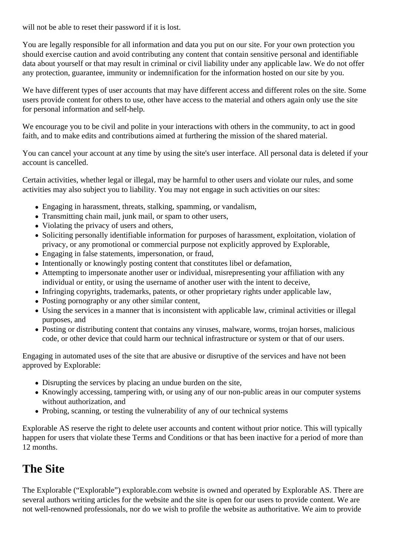will not be able to reset their password if it is lost.

You are legally responsible for all information and data you put on our site. For your own protection you should exercise caution and avoid contributing any content that contain sensitive personal and identifiable data about yourself or that may result in criminal or civil liability under any applicable law. We do not offer any protection, guarantee, immunity or indemnification for the information hosted on our site by you.

We have different types of user accounts that may have different access and different roles on the site. Some users provide content for others to use, other have access to the material and others again only use the site for personal information and self-help.

We encourage you to be civil and polite in your interactions with others in the community, to act in good faith, and to make edits and contributions aimed at furthering the mission of the shared material.

You can cancel your account at any time by using the site's user interface. All personal data is deleted if your account is cancelled.

Certain activities, whether legal or illegal, may be harmful to other users and violate our rules, and some activities may also subject you to liability. You may not engage in such activities on our sites:

- Engaging in harassment, threats, stalking, spamming, or vandalism,
- Transmitting chain mail, junk mail, or spam to other users,
- Violating the privacy of users and others,
- Soliciting personally identifiable information for purposes of harassment, exploitation, violation of privacy, or any promotional or commercial purpose not explicitly approved by Explorable,
- Engaging in false statements, impersonation, or fraud,
- Intentionally or knowingly posting content that constitutes libel or defamation,
- Attempting to impersonate another user or individual, misrepresenting your affiliation with any individual or entity, or using the username of another user with the intent to deceive,
- Infringing copyrights, trademarks, patents, or other proprietary rights under applicable law,
- Posting pornography or any other similar content,
- Using the services in a manner that is inconsistent with applicable law, criminal activities or illegal purposes, and
- Posting or distributing content that contains any viruses, malware, worms, trojan horses, malicious code, or other device that could harm our technical infrastructure or system or that of our users.

Engaging in automated uses of the site that are abusive or disruptive of the services and have not been approved by Explorable:

- Disrupting the services by placing an undue burden on the site,
- Knowingly accessing, tampering with, or using any of our non-public areas in our computer systems without authorization, and
- Probing, scanning, or testing the vulnerability of any of our technical systems

Explorable AS reserve the right to delete user accounts and content without prior notice. This will typically happen for users that violate these Terms and Conditions or that has been inactive for a period of more than 12 months.

## **The Site**

The Explorable ("Explorable") explorable.com website is owned and operated by Explorable AS. There are several authors writing articles for the website and the site is open for our users to provide content. We are not well-renowned professionals, nor do we wish to profile the website as authoritative. We aim to provide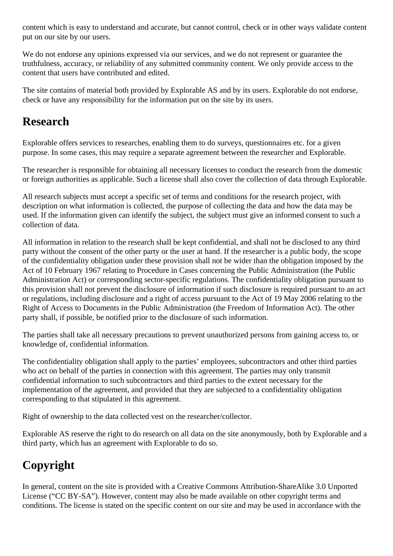content which is easy to understand and accurate, but cannot control, check or in other ways validate content put on our site by our users.

We do not endorse any opinions expressed via our services, and we do not represent or guarantee the truthfulness, accuracy, or reliability of any submitted community content. We only provide access to the content that users have contributed and edited.

The site contains of material both provided by Explorable AS and by its users. Explorable do not endorse, check or have any responsibility for the information put on the site by its users.

## **Research**

Explorable offers services to researches, enabling them to do surveys, questionnaires etc. for a given purpose. In some cases, this may require a separate agreement between the researcher and Explorable.

The researcher is responsible for obtaining all necessary licenses to conduct the research from the domestic or foreign authorities as applicable. Such a license shall also cover the collection of data through Explorable.

All research subjects must accept a specific set of terms and conditions for the research project, with description on what information is collected, the purpose of collecting the data and how the data may be used. If the information given can identify the subject, the subject must give an informed consent to such a collection of data.

All information in relation to the research shall be kept confidential, and shall not be disclosed to any third party without the consent of the other party or the user at hand. If the researcher is a public body, the scope of the confidentiality obligation under these provision shall not be wider than the obligation imposed by the Act of 10 February 1967 relating to Procedure in Cases concerning the Public Administration (the Public Administration Act) or corresponding sector-specific regulations. The confidentiality obligation pursuant to this provision shall not prevent the disclosure of information if such disclosure is required pursuant to an act or regulations, including disclosure and a right of access pursuant to the Act of 19 May 2006 relating to the Right of Access to Documents in the Public Administration (the Freedom of Information Act). The other party shall, if possible, be notified prior to the disclosure of such information.

The parties shall take all necessary precautions to prevent unauthorized persons from gaining access to, or knowledge of, confidential information.

The confidentiality obligation shall apply to the parties' employees, subcontractors and other third parties who act on behalf of the parties in connection with this agreement. The parties may only transmit confidential information to such subcontractors and third parties to the extent necessary for the implementation of the agreement, and provided that they are subjected to a confidentiality obligation corresponding to that stipulated in this agreement.

Right of ownership to the data collected vest on the researcher/collector.

Explorable AS reserve the right to do research on all data on the site anonymously, both by Explorable and a third party, which has an agreement with Explorable to do so.

# **Copyright**

In general, content on the site is provided with a Creative Commons Attribution-ShareAlike 3.0 Unported License ("CC BY-SA"). However, content may also be made available on other copyright terms and conditions. The license is stated on the specific content on our site and may be used in accordance with the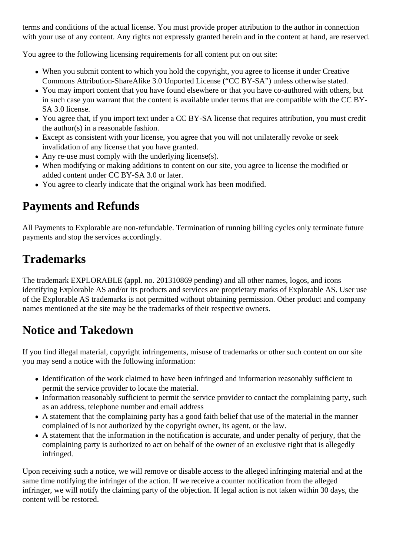terms and conditions of the actual license. You must provide proper attribution to the author in connection with your use of any content. Any rights not expressly granted herein and in the content at hand, are reserved.

You agree to the following licensing requirements for all content put on out site:

- When you submit content to which you hold the copyright, you agree to license it under Creative Commons Attribution-ShareAlike 3.0 Unported License ("CC BY-SA") unless otherwise stated.
- You may import content that you have found elsewhere or that you have co-authored with others, but in such case you warrant that the content is available under terms that are compatible with the CC BY-SA 3.0 license.
- You agree that, if you import text under a CC BY-SA license that requires attribution, you must credit the author(s) in a reasonable fashion.
- Except as consistent with your license, you agree that you will not unilaterally revoke or seek invalidation of any license that you have granted.
- Any re-use must comply with the underlying license(s).
- When modifying or making additions to content on our site, you agree to license the modified or added content under CC BY-SA 3.0 or later.
- You agree to clearly indicate that the original work has been modified.

# **Payments and Refunds**

All Payments to Explorable are non-refundable. Termination of running billing cycles only terminate future payments and stop the services accordingly.

# **Trademarks**

The trademark EXPLORABLE (appl. no. 201310869 pending) and all other names, logos, and icons identifying Explorable AS and/or its products and services are proprietary marks of Explorable AS. User use of the Explorable AS trademarks is not permitted without obtaining permission. Other product and company names mentioned at the site may be the trademarks of their respective owners.

## **Notice and Takedown**

If you find illegal material, copyright infringements, misuse of trademarks or other such content on our site you may send a notice with the following information:

- Identification of the work claimed to have been infringed and information reasonably sufficient to permit the service provider to locate the material.
- Information reasonably sufficient to permit the service provider to contact the complaining party, such as an address, telephone number and email address
- A statement that the complaining party has a good faith belief that use of the material in the manner complained of is not authorized by the copyright owner, its agent, or the law.
- A statement that the information in the notification is accurate, and under penalty of perjury, that the complaining party is authorized to act on behalf of the owner of an exclusive right that is allegedly infringed.

Upon receiving such a notice, we will remove or disable access to the alleged infringing material and at the same time notifying the infringer of the action. If we receive a counter notification from the alleged infringer, we will notify the claiming party of the objection. If legal action is not taken within 30 days, the content will be restored.